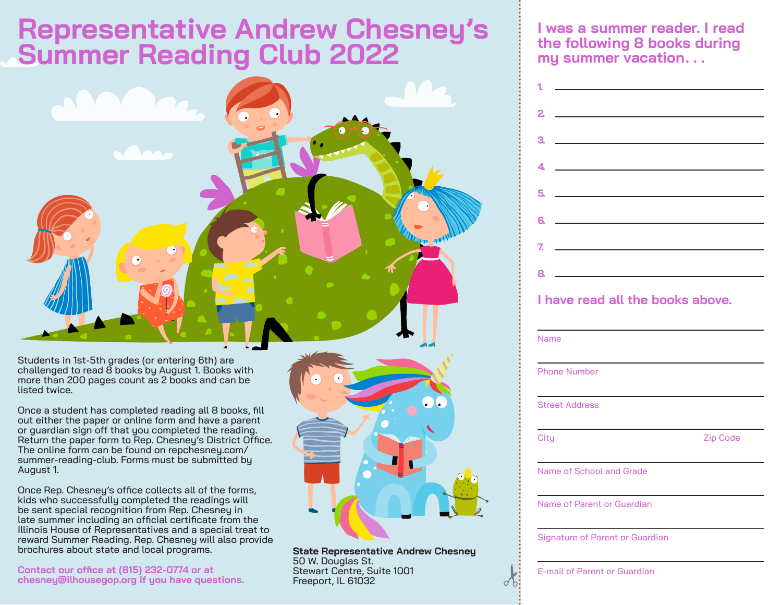# **Representative Andrew Chesney's Summer Reading Club 2022**



Students in 1st-5th grades (or entering 6th) are challenged to read 8 books by August 1. Books with more than 200 pages count as 2 books and can be listed twice.

Once a student has completed reading all 8 books, fill out either the paper or online form and have a parent or guardian sign off that you completed the reading. Return the paper form to Rep. Chesney's District Office. The online form can be found on repchesney.com/ summer-reading-club. Forms must be submitted by August 1.

Once Rep. Chesney's office collects all of the forms, kids who successfully completed the readings will be sent special recognition from Rep. Chesney in late summer including an official certificate from the Illinois House of Representatives and a special treat to reward Summer Reading. Rep. Chesney will also provide brochures about state and local programs.

**Contact our office at (815) 232-0774 or at chesney@ilhousegop.org if you have questions.** 

**State Representative Andrew Chesney**  50 W. Douglas St. Stewart Centre, Suite 1001 Freeport, IL 61032

**I was a summer reader. I read the following 8 books during my summer vacation. . .**

| 2           |                                              |
|-------------|----------------------------------------------|
| З.          |                                              |
| 4.          |                                              |
| 5.          |                                              |
| 6.          |                                              |
| 7.          | the control of the control of the control of |
| 8.          |                                              |
|             | I have read all the books above.             |
|             |                                              |
| <b>Name</b> |                                              |
|             | <b>Phone Number</b>                          |
|             | <b>Street Address</b>                        |
| City        | <b>Zip Code</b>                              |
|             | Name of School and Grade                     |
|             | Name of Parent or Guardian                   |

E-mail of Parent or Guardian